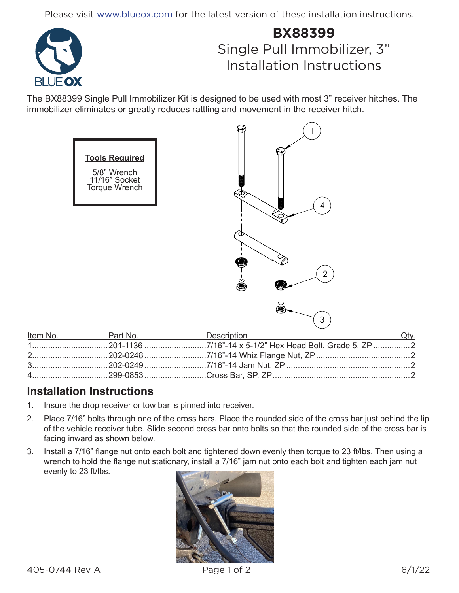Please visit www.blueox.com for the latest version of these installation instructions.



## **BX88399** Single Pull Immobilizer, 3" Installation Instructions

 $\binom{1}{1}$ 

The BX88399 Single Pull Immobilizer Kit is designed to be used with most 3" receiver hitches. The immobilizer eliminates or greatly reduces rattling and movement in the receiver hitch.

 $\boldsymbol{\Omega}$ 

| <b>Tools Required</b><br>5/8" Wrench<br>11/16" Socket<br>Torque Wrench | J.<br>⊕<br>i i mini i<br>4<br>c<br>CΓ<br>$\overline{2}$<br>$\mathring{\bullet}$ |
|------------------------------------------------------------------------|---------------------------------------------------------------------------------|
| Part No.                                                               | 3<br><b>Description</b>                                                         |

| Item No. Part No. | Description Communication Communication Communication Communication Communication Communication Communication | Qtv. |
|-------------------|---------------------------------------------------------------------------------------------------------------|------|
|                   |                                                                                                               |      |
|                   |                                                                                                               |      |
|                   |                                                                                                               |      |
|                   |                                                                                                               |      |

## **Installation Instructions**

- 1. Insure the drop receiver or tow bar is pinned into receiver.
- 2. Place 7/16" bolts through one of the cross bars. Place the rounded side of the cross bar just behind the lip of the vehicle receiver tube. Slide second cross bar onto bolts so that the rounded side of the cross bar is facing inward as shown below.
- 3. Install a 7/16" flange nut onto each bolt and tightened down evenly then torque to 23 ft/lbs. Then using a wrench to hold the flange nut stationary, install a 7/16" jam nut onto each bolt and tighten each jam nut evenly to 23 ft/lbs.